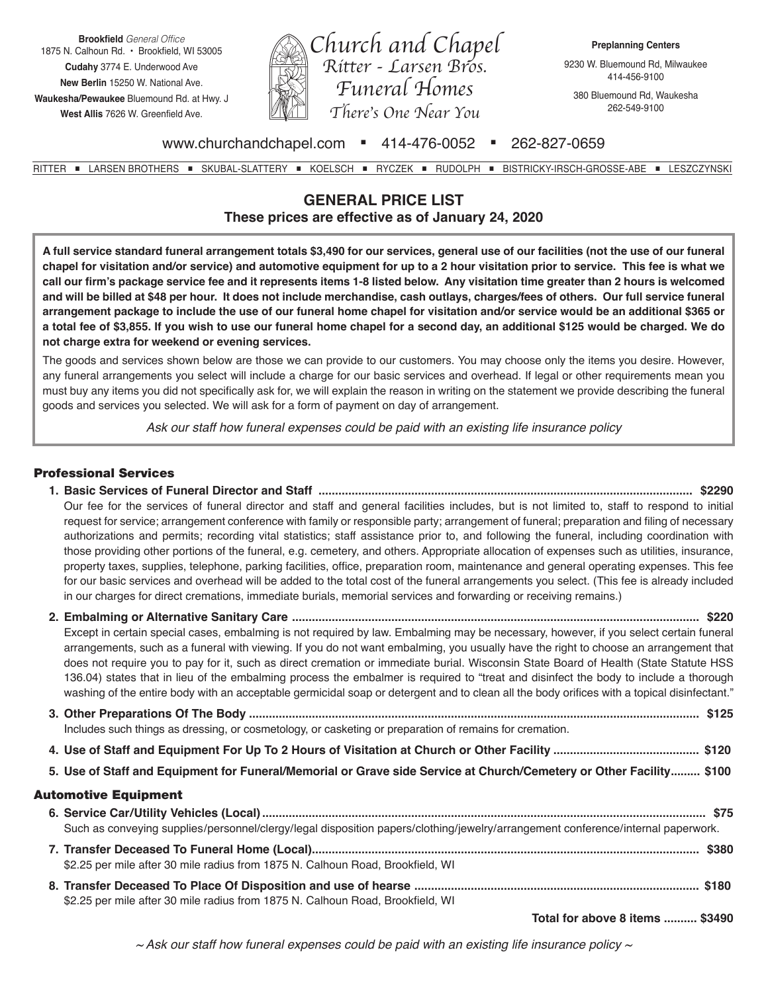**Brookfield** General Office 1875 N. Calhoun Rd. • Brookfield, WI 53005 **Cudahy** 3774 E. Underwood Ave **New Berlin** 15250 W. National Ave. **Waukesha/Pewaukee** Bluemound Rd. at Hwy. J **West Allis** 7626 W. Greenfield Ave.



9230 W. Bluemound Rd, Milwaukee 414-456-9100

380 Bluemound Rd, Waukesha 262-549-9100

## www.churchandchapel.com = 414-476-0052 = 262-827-0659

RITTER = LARSEN BROTHERS = SKUBAL-SLATTERY = KOELSCH = RYCZEK = RUDOLPH = BISTRICKY-IRSCH-GROSSE-ABE = LESZCZYNSKI

# **GENERAL PRICE LIST These prices are effective as of January 24, 2020**

**A full service standard funeral arrangement totals \$3,490 for our services, general use of our facilities (not the use of our funeral chapel for visitation and/or service) and automotive equipment for up to a 2 hour visitation prior to service. This fee is what we call our firm's package service fee and it represents items 1-8 listed below. Any visitation time greater than 2 hours is welcomed and will be billed at \$48 per hour. It does not include merchandise, cash outlays, charges/fees of others. Our full service funeral arrangement package to include the use of our funeral home chapel for visitation and/or service would be an additional \$365 or a total fee of \$3,855. If you wish to use our funeral home chapel for a second day, an additional \$125 would be charged. We do not charge extra for weekend or evening services.**

The goods and services shown below are those we can provide to our customers. You may choose only the items you desire. However, any funeral arrangements you select will include a charge for our basic services and overhead. If legal or other requirements mean you must buy any items you did not specifically ask for, we will explain the reason in writing on the statement we provide describing the funeral goods and services you selected. We will ask for a form of payment on day of arrangement.

*Ask our staff how funeral expenses could be paid with an existing life insurance policy*

### Professional Services

- **1. Basic Services of Funeral Director and Staff ................................................................................................................. \$2290** Our fee for the services of funeral director and staff and general facilities includes, but is not limited to, staff to respond to initial request for service; arrangement conference with family or responsible party; arrangement of funeral; preparation and filing of necessary authorizations and permits; recording vital statistics; staff assistance prior to, and following the funeral, including coordination with those providing other portions of the funeral, e.g. cemetery, and others. Appropriate allocation of expenses such as utilities, insurance, property taxes, supplies, telephone, parking facilities, office, preparation room, maintenance and general operating expenses. This fee for our basic services and overhead will be added to the total cost of the funeral arrangements you select. (This fee is already included in our charges for direct cremations, immediate burials, memorial services and forwarding or receiving remains.)
- **2. Embalming or Alternative Sanitary Care ........................................................................................................................... \$220** Except in certain special cases, embalming is not required by law. Embalming may be necessary, however, if you select certain funeral arrangements, such as a funeral with viewing. If you do not want embalming, you usually have the right to choose an arrangement that does not require you to pay for it, such as direct cremation or immediate burial. Wisconsin State Board of Health (State Statute HSS 136.04) states that in lieu of the embalming process the embalmer is required to "treat and disinfect the body to include a thorough washing of the entire body with an acceptable germicidal soap or detergent and to clean all the body orifices with a topical disinfectant." **3. Other Preparations Of The Body ........................................................................................................................................ \$125** Includes such things as dressing, or cosmetology, or casketing or preparation of remains for cremation. **4. Use of Staff and Equipment For Up To 2 Hours of Visitation at Church or Other Facility ............................................ \$120 5. Use of Staff and Equipment for Funeral/Memorial or Grave side Service at Church/Cemetery or Other Facility......... \$100** Automotive Equipment **6. Service Car/Utility Vehicles (Local)...................................................................................................................................... \$75** Such as conveying supplies/personnel/clergy/legal disposition papers/clothing/jewelry/arrangement conference/internal paperwork. **7. Transfer Deceased To Funeral Home (Local)..................................................................................................................... \$380** \$2.25 per mile after 30 mile radius from 1875 N. Calhoun Road, Brookfield, WI
	- **8. Transfer Deceased To Place Of Disposition and use of hearse ...................................................................................... \$180** \$2.25 per mile after 30 mile radius from 1875 N. Calhoun Road, Brookfield, WI

**Total for above 8 items .......... \$3490**

*~ Ask our staff how funeral expenses could be paid with an existing life insurance policy ~*